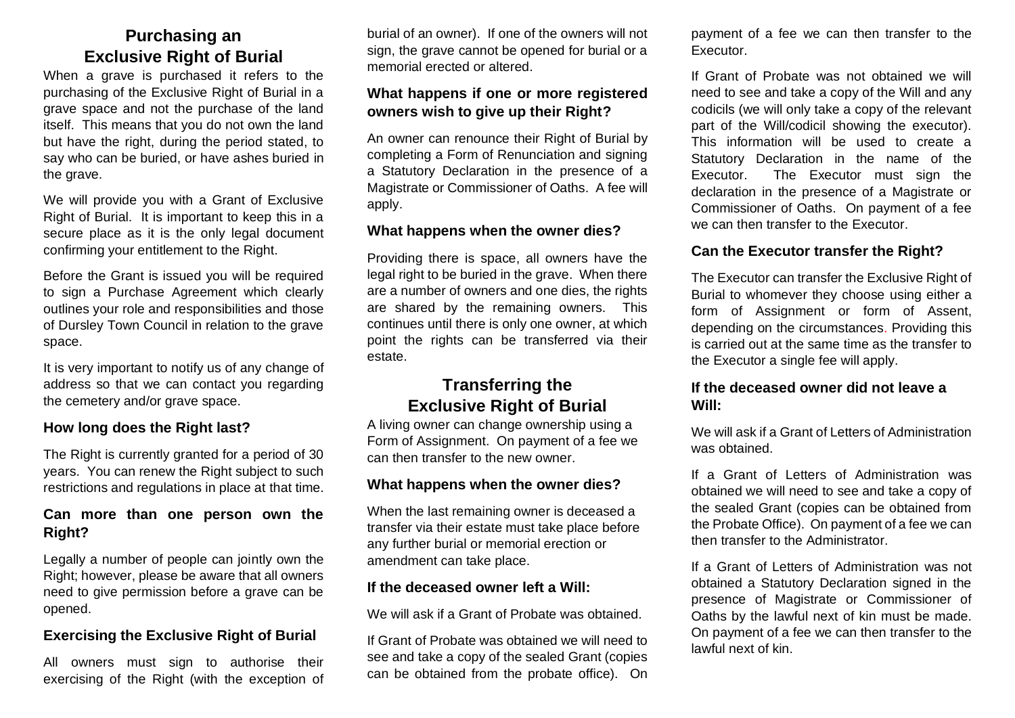# **Purchasing an Exclusive Right of Burial**

When a grave is purchased it refers to the purchasing of the Exclusive Right of Burial in a grave space and not the purchase of the land itself. This means that you do not own the land but have the right, during the period stated, to say who can be buried, or have ashes buried in the grave.

We will provide you with a Grant of Exclusive Right of Burial. It is important to keep this in a secure place as it is the only legal document confirming your entitlement to the Right.

Before the Grant is issued you will be required to sign a Purchase Agreement which clearly outlines your role and responsibilities and those of Dursley Town Council in relation to the grave space.

It is very important to notify us of any change of address so that we can contact you regarding the cemetery and/or grave space.

#### **How long does the Right last?**

The Right is currently granted for a period of 30 years. You can renew the Right subject to such restrictions and regulations in place at that time.

## **Can more than one person own the Right?**

Legally a number of people can jointly own the Right; however, please be aware that all owners need to give permission before a grave can be opened.

## **Exercising the Exclusive Right of Burial**

All owners must sign to authorise their exercising of the Right (with the exception of burial of an owner). If one of the owners will not sign, the grave cannot be opened for burial or a memorial erected or altered.

## **What happens if one or more registered owners wish to give up their Right?**

An owner can renounce their Right of Burial by completing a Form of Renunciation and signing a Statutory Declaration in the presence of a Magistrate or Commissioner of Oaths. A fee will apply.

#### **What happens when the owner dies?**

Providing there is space, all owners have the legal right to be buried in the grave. When there are a number of owners and one dies, the rights are shared by the remaining owners. This continues until there is only one owner, at which point the rights can be transferred via their estate.

# **Transferring the Exclusive Right of Burial**

A living owner can change ownership using a Form of Assignment. On payment of a fee we can then transfer to the new owner.

#### **What happens when the owner dies?**

When the last remaining owner is deceased a transfer via their estate must take place before any further burial or memorial erection or amendment can take place.

#### **If the deceased owner left a Will:**

We will ask if a Grant of Probate was obtained.

If Grant of Probate was obtained we will need to see and take a copy of the sealed Grant (copies can be obtained from the probate office). On payment of a fee we can then transfer to the Executor.

If Grant of Probate was not obtained we will need to see and take a copy of the Will and any codicils (we will only take a copy of the relevant part of the Will/codicil showing the executor). This information will be used to create a Statutory Declaration in the name of the Executor. The Executor must sign the declaration in the presence of a Magistrate or Commissioner of Oaths. On payment of a fee we can then transfer to the Executor.

# **Can the Executor transfer the Right?**

The Executor can transfer the Exclusive Right of Burial to whomever they choose using either a form of Assignment or form of Assent, depending on the circumstances. Providing this is carried out at the same time as the transfer to the Executor a single fee will apply.

#### **If the deceased owner did not leave a Will:**

We will ask if a Grant of Letters of Administration was obtained.

If a Grant of Letters of Administration was obtained we will need to see and take a copy of the sealed Grant (copies can be obtained from the Probate Office). On payment of a fee we can then transfer to the Administrator.

If a Grant of Letters of Administration was not obtained a Statutory Declaration signed in the presence of Magistrate or Commissioner of Oaths by the lawful next of kin must be made. On payment of a fee we can then transfer to the lawful next of kin.